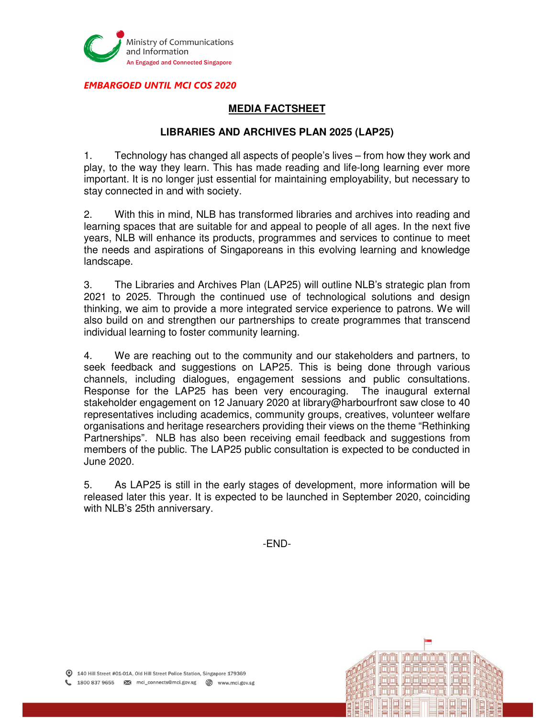

EMBARGOED UNTIL MCI COS 2020

## **MEDIA FACTSHEET**

## **LIBRARIES AND ARCHIVES PLAN 2025 (LAP25)**

1. Technology has changed all aspects of people's lives – from how they work and play, to the way they learn. This has made reading and life-long learning ever more important. It is no longer just essential for maintaining employability, but necessary to stay connected in and with society.

2. With this in mind, NLB has transformed libraries and archives into reading and learning spaces that are suitable for and appeal to people of all ages. In the next five years, NLB will enhance its products, programmes and services to continue to meet the needs and aspirations of Singaporeans in this evolving learning and knowledge landscape.

3. The Libraries and Archives Plan (LAP25) will outline NLB's strategic plan from 2021 to 2025. Through the continued use of technological solutions and design thinking, we aim to provide a more integrated service experience to patrons. We will also build on and strengthen our partnerships to create programmes that transcend individual learning to foster community learning.

4. We are reaching out to the community and our stakeholders and partners, to seek feedback and suggestions on LAP25. This is being done through various channels, including dialogues, engagement sessions and public consultations. Response for the LAP25 has been very encouraging. The inaugural external stakeholder engagement on 12 January 2020 at library@harbourfront saw close to 40 representatives including academics, community groups, creatives, volunteer welfare organisations and heritage researchers providing their views on the theme "Rethinking Partnerships". NLB has also been receiving email feedback and suggestions from members of the public. The LAP25 public consultation is expected to be conducted in June 2020.

5. As LAP25 is still in the early stages of development, more information will be released later this year. It is expected to be launched in September 2020, coinciding with NLB's 25th anniversary.

-END-